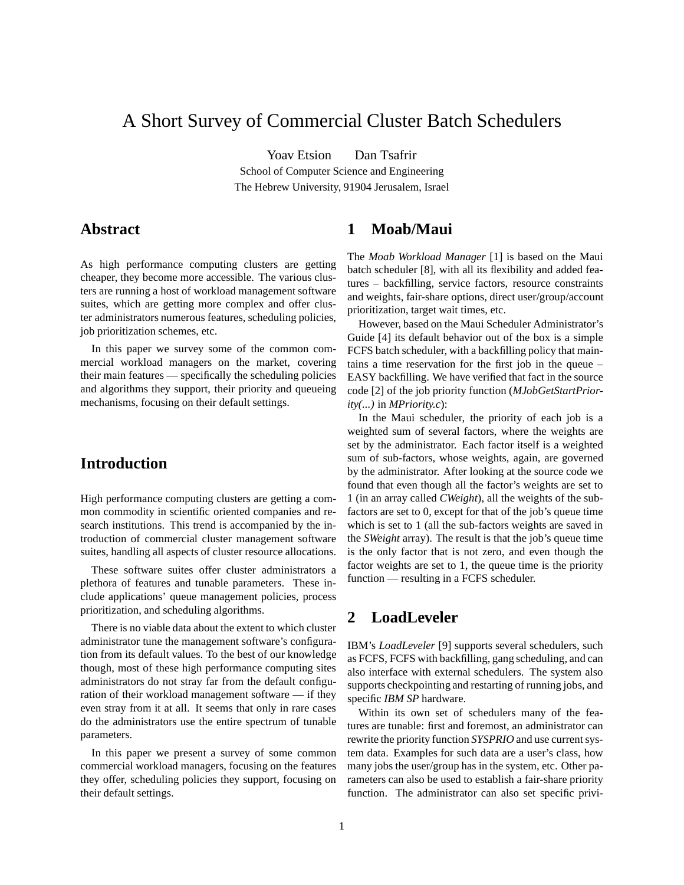# A Short Survey of Commercial Cluster Batch Schedulers

Yoav Etsion Dan Tsafrir

School of Computer Science and Engineering The Hebrew University, 91904 Jerusalem, Israel

### **Abstract**

As high performance computing clusters are getting cheaper, they become more accessible. The various clusters are running a host of workload management software suites, which are getting more complex and offer cluster administrators numerous features, scheduling policies, job prioritization schemes, etc.

In this paper we survey some of the common commercial workload managers on the market, covering their main features — specifically the scheduling policies and algorithms they support, their priority and queueing mechanisms, focusing on their default settings.

### **Introduction**

High performance computing clusters are getting a common commodity in scientific oriented companies and research institutions. This trend is accompanied by the introduction of commercial cluster management software suites, handling all aspects of cluster resource allocations.

These software suites offer cluster administrators a plethora of features and tunable parameters. These include applications' queue management policies, process prioritization, and scheduling algorithms.

There is no viable data about the extent to which cluster administrator tune the management software's configuration from its default values. To the best of our knowledge though, most of these high performance computing sites administrators do not stray far from the default configuration of their workload management software — if they even stray from it at all. It seems that only in rare cases do the administrators use the entire spectrum of tunable parameters.

In this paper we present a survey of some common commercial workload managers, focusing on the features they offer, scheduling policies they support, focusing on their default settings.

## **1 Moab/Maui**

The *Moab Workload Manager* [1] is based on the Maui batch scheduler [8], with all its flexibility and added features – backfilling, service factors, resource constraints and weights, fair-share options, direct user/group/account prioritization, target wait times, etc.

However, based on the Maui Scheduler Administrator's Guide [4] its default behavior out of the box is a simple FCFS batch scheduler, with a backfilling policy that maintains a time reservation for the first job in the queue – EASY backfilling. We have verified that fact in the source code [2] of the job priority function (*MJobGetStartPriority(...)* in *MPriority.c*):

In the Maui scheduler, the priority of each job is a weighted sum of several factors, where the weights are set by the administrator. Each factor itself is a weighted sum of sub-factors, whose weights, again, are governed by the administrator. After looking at the source code we found that even though all the factor's weights are set to 1 (in an array called *CWeight*), all the weights of the subfactors are set to 0, except for that of the job's queue time which is set to 1 (all the sub-factors weights are saved in the *SWeight* array). The result is that the job's queue time is the only factor that is not zero, and even though the factor weights are set to 1, the queue time is the priority function — resulting in a FCFS scheduler.

### **2 LoadLeveler**

IBM's *LoadLeveler* [9] supports several schedulers, such as FCFS, FCFS with backfilling, gang scheduling, and can also interface with external schedulers. The system also supports checkpointing and restarting of running jobs, and specific *IBM SP* hardware.

Within its own set of schedulers many of the features are tunable: first and foremost, an administrator can rewrite the priority function *SYSPRIO* and use current system data. Examples for such data are a user's class, how many jobs the user/group has in the system, etc. Other parameters can also be used to establish a fair-share priority function. The administrator can also set specific privi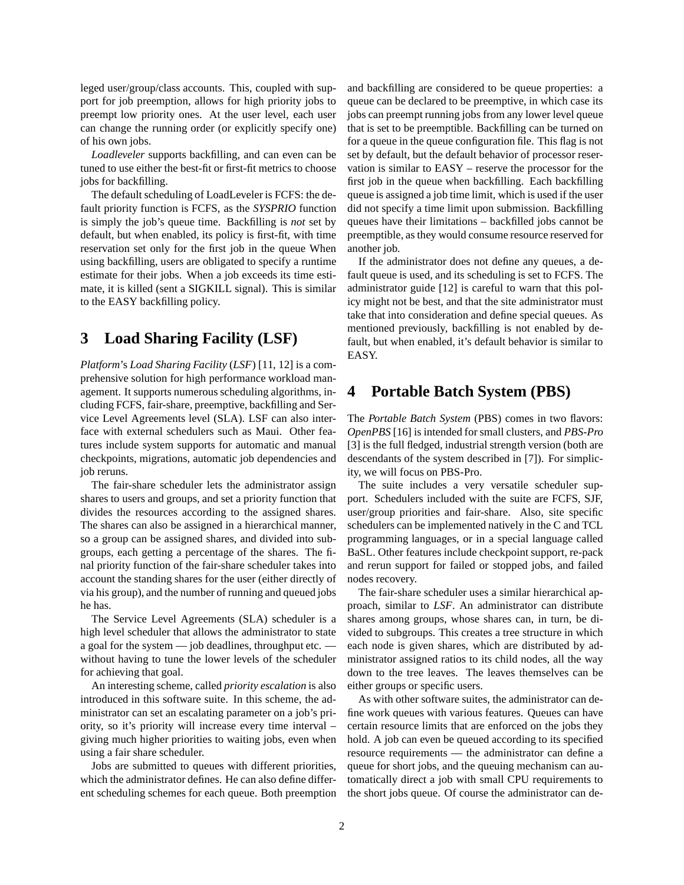leged user/group/class accounts. This, coupled with support for job preemption, allows for high priority jobs to preempt low priority ones. At the user level, each user can change the running order (or explicitly specify one) of his own jobs.

*Loadleveler* supports backfilling, and can even can be tuned to use either the best-fit or first-fit metrics to choose jobs for backfilling.

The default scheduling of LoadLeveler is FCFS: the default priority function is FCFS, as the *SYSPRIO* function is simply the job's queue time. Backfilling is *not* set by default, but when enabled, its policy is first-fit, with time reservation set only for the first job in the queue When using backfilling, users are obligated to specify a runtime estimate for their jobs. When a job exceeds its time estimate, it is killed (sent a SIGKILL signal). This is similar to the EASY backfilling policy.

### **3 Load Sharing Facility (LSF)**

*Platform*'s *Load Sharing Facility* (*LSF*) [11, 12] is a comprehensive solution for high performance workload management. It supports numerous scheduling algorithms, including FCFS, fair-share, preemptive, backfilling and Service Level Agreements level (SLA). LSF can also interface with external schedulers such as Maui. Other features include system supports for automatic and manual checkpoints, migrations, automatic job dependencies and job reruns.

The fair-share scheduler lets the administrator assign shares to users and groups, and set a priority function that divides the resources according to the assigned shares. The shares can also be assigned in a hierarchical manner, so a group can be assigned shares, and divided into subgroups, each getting a percentage of the shares. The final priority function of the fair-share scheduler takes into account the standing shares for the user (either directly of via his group), and the number of running and queued jobs he has.

The Service Level Agreements (SLA) scheduler is a high level scheduler that allows the administrator to state a goal for the system — job deadlines, throughput etc. without having to tune the lower levels of the scheduler for achieving that goal.

An interesting scheme, called *priority escalation* is also introduced in this software suite. In this scheme, the administrator can set an escalating parameter on a job's priority, so it's priority will increase every time interval – giving much higher priorities to waiting jobs, even when using a fair share scheduler.

Jobs are submitted to queues with different priorities, which the administrator defines. He can also define different scheduling schemes for each queue. Both preemption and backfilling are considered to be queue properties: a queue can be declared to be preemptive, in which case its jobs can preempt running jobs from any lower level queue that is set to be preemptible. Backfilling can be turned on for a queue in the queue configuration file. This flag is not set by default, but the default behavior of processor reservation is similar to EASY – reserve the processor for the first job in the queue when backfilling. Each backfilling queue is assigned a job time limit, which is used if the user did not specify a time limit upon submission. Backfilling queues have their limitations – backfilled jobs cannot be preemptible, as they would consume resource reserved for another job.

If the administrator does not define any queues, a default queue is used, and its scheduling is set to FCFS. The administrator guide [12] is careful to warn that this policy might not be best, and that the site administrator must take that into consideration and define special queues. As mentioned previously, backfilling is not enabled by default, but when enabled, it's default behavior is similar to EASY.

## **4 Portable Batch System (PBS)**

The *Portable Batch System* (PBS) comes in two flavors: *OpenPBS* [16] is intended for small clusters, and *PBS-Pro* [3] is the full fledged, industrial strength version (both are descendants of the system described in [7]). For simplicity, we will focus on PBS-Pro.

The suite includes a very versatile scheduler support. Schedulers included with the suite are FCFS, SJF, user/group priorities and fair-share. Also, site specific schedulers can be implemented natively in the C and TCL programming languages, or in a special language called BaSL. Other features include checkpoint support, re-pack and rerun support for failed or stopped jobs, and failed nodes recovery.

The fair-share scheduler uses a similar hierarchical approach, similar to *LSF*. An administrator can distribute shares among groups, whose shares can, in turn, be divided to subgroups. This creates a tree structure in which each node is given shares, which are distributed by administrator assigned ratios to its child nodes, all the way down to the tree leaves. The leaves themselves can be either groups or specific users.

As with other software suites, the administrator can define work queues with various features. Queues can have certain resource limits that are enforced on the jobs they hold. A job can even be queued according to its specified resource requirements — the administrator can define a queue for short jobs, and the queuing mechanism can automatically direct a job with small CPU requirements to the short jobs queue. Of course the administrator can de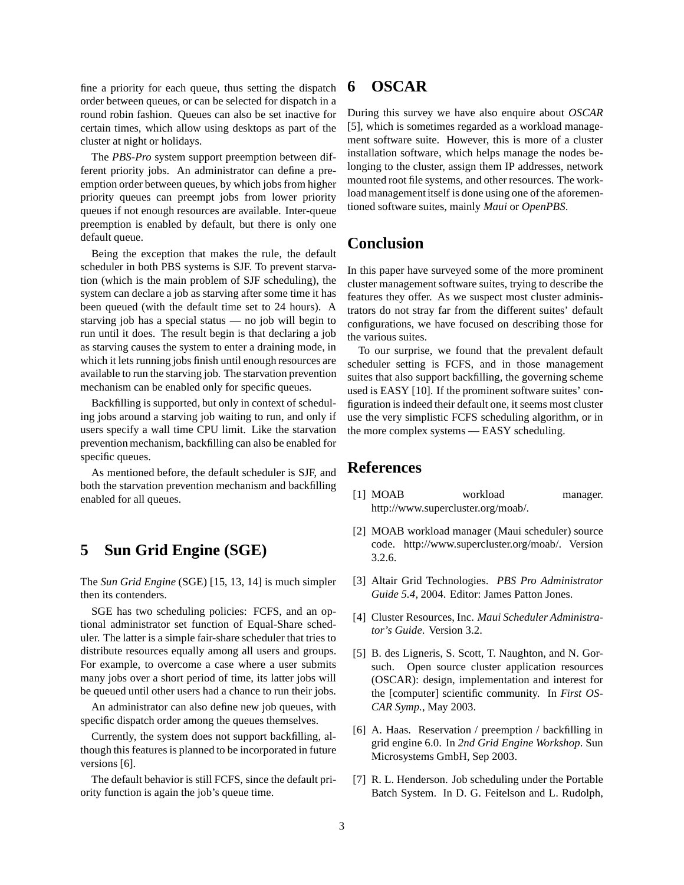fine a priority for each queue, thus setting the dispatch order between queues, or can be selected for dispatch in a round robin fashion. Queues can also be set inactive for certain times, which allow using desktops as part of the cluster at night or holidays.

The *PBS-Pro* system support preemption between different priority jobs. An administrator can define a preemption order between queues, by which jobs from higher priority queues can preempt jobs from lower priority queues if not enough resources are available. Inter-queue preemption is enabled by default, but there is only one default queue.

Being the exception that makes the rule, the default scheduler in both PBS systems is SJF. To prevent starvation (which is the main problem of SJF scheduling), the system can declare a job as starving after some time it has been queued (with the default time set to 24 hours). A starving job has a special status — no job will begin to run until it does. The result begin is that declaring a job as starving causes the system to enter a draining mode, in which it lets running jobs finish until enough resources are available to run the starving job. The starvation prevention mechanism can be enabled only for specific queues.

Backfilling is supported, but only in context of scheduling jobs around a starving job waiting to run, and only if users specify a wall time CPU limit. Like the starvation prevention mechanism, backfilling can also be enabled for specific queues.

As mentioned before, the default scheduler is SJF, and both the starvation prevention mechanism and backfilling enabled for all queues.

### **5 Sun Grid Engine (SGE)**

The *Sun Grid Engine* (SGE) [15, 13, 14] is much simpler then its contenders.

SGE has two scheduling policies: FCFS, and an optional administrator set function of Equal-Share scheduler. The latter is a simple fair-share scheduler that tries to distribute resources equally among all users and groups. For example, to overcome a case where a user submits many jobs over a short period of time, its latter jobs will be queued until other users had a chance to run their jobs.

An administrator can also define new job queues, with specific dispatch order among the queues themselves.

Currently, the system does not support backfilling, although this features is planned to be incorporated in future versions [6].

The default behavior is still FCFS, since the default priority function is again the job's queue time.

## **6 OSCAR**

During this survey we have also enquire about *OSCAR* [5], which is sometimes regarded as a workload management software suite. However, this is more of a cluster installation software, which helps manage the nodes belonging to the cluster, assign them IP addresses, network mounted root file systems, and other resources. The workload management itself is done using one of the aforementioned software suites, mainly *Maui* or *OpenPBS*.

### **Conclusion**

In this paper have surveyed some of the more prominent cluster management software suites, trying to describe the features they offer. As we suspect most cluster administrators do not stray far from the different suites' default configurations, we have focused on describing those for the various suites.

To our surprise, we found that the prevalent default scheduler setting is FCFS, and in those management suites that also support backfilling, the governing scheme used is EASY [10]. If the prominent software suites' configuration is indeed their default one, it seems most cluster use the very simplistic FCFS scheduling algorithm, or in the more complex systems — EASY scheduling.

#### **References**

- [1] MOAB workload manager. http://www.supercluster.org/moab/.
- [2] MOAB workload manager (Maui scheduler) source code. http://www.supercluster.org/moab/. Version 3.2.6.
- [3] Altair Grid Technologies. *PBS Pro Administrator Guide 5.4*, 2004. Editor: James Patton Jones.
- [4] Cluster Resources, Inc. *Maui Scheduler Administrator's Guide*. Version 3.2.
- [5] B. des Ligneris, S. Scott, T. Naughton, and N. Gorsuch. Open source cluster application resources (OSCAR): design, implementation and interest for the [computer] scientific community. In *First OS-CAR Symp.*, May 2003.
- [6] A. Haas. Reservation / preemption / backfilling in grid engine 6.0. In *2nd Grid Engine Workshop*. Sun Microsystems GmbH, Sep 2003.
- [7] R. L. Henderson. Job scheduling under the Portable Batch System. In D. G. Feitelson and L. Rudolph,